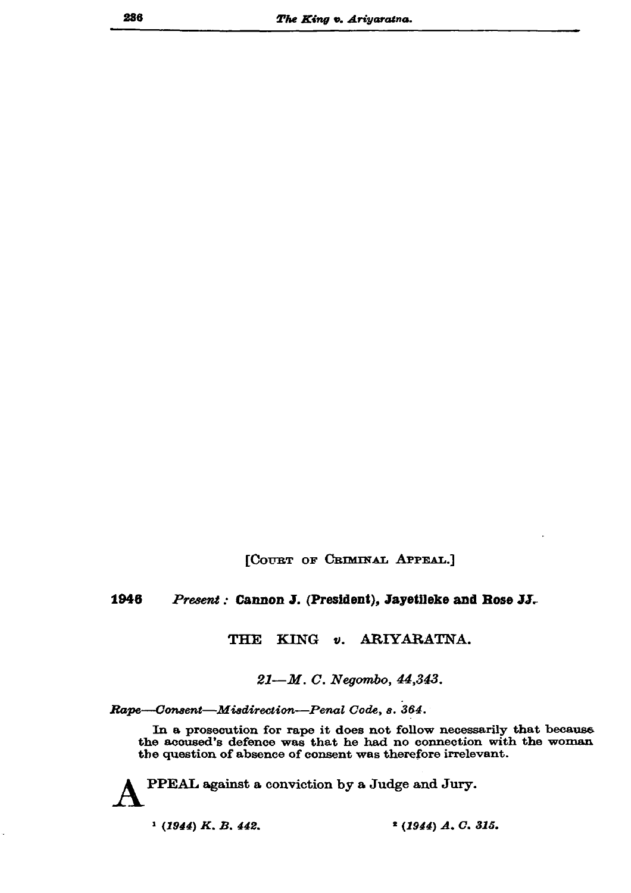[COURT OF CRIMINAL APPEAL.]

## 1946 Present: Cannon J. (President), Jayetileke and Rose JJ.

## KING v. ARIYARATNA. **THE**

21-M.C. Negombo, 44,343.

Rape-Consent-Misdirection-Penal Code, s. 364.

In a prosecution for rape it does not follow necessarily that because the accused's defence was that he had no connection with the woman the question of absence of consent was therefore irrelevant.

PPEAL against a conviction by a Judge and Jury.

 $(1944) K, B, 442.$ 

 $2(1944)$  A, C, 315.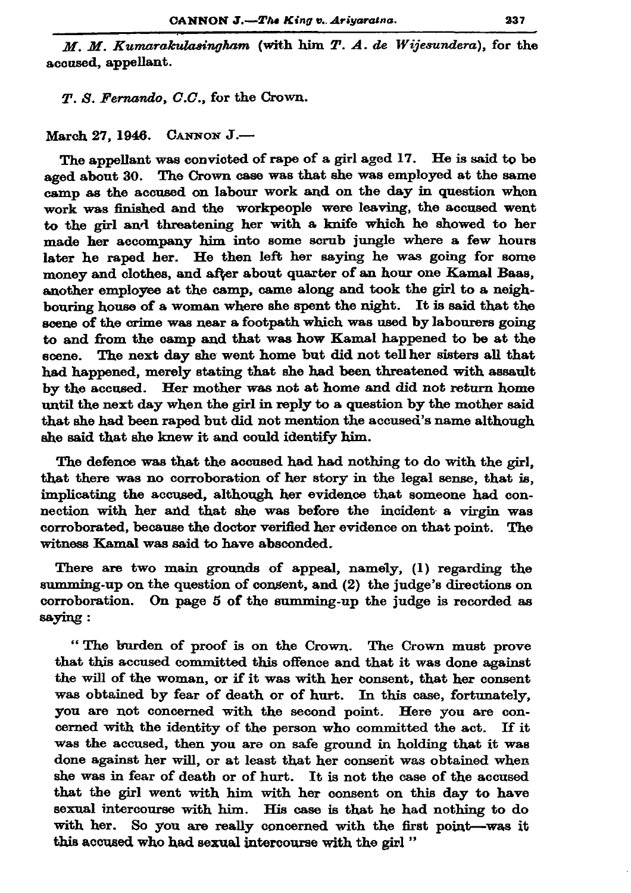$M$ .  $M$ . Kumarakulasingham (with him  $T$ .  $A$ . de Wijesundera), for the accused, appellant.

T. S. Fernando, C.C., for the Crown.

March 27, 1946. CANNON J.-

The appellant was convicted of rape of a girl aged 17. He is said to be aged about 30. The Crown case was that she was employed at the same camp as the accused on labour work and on the day in question when work was finished and the workpeople were leaving, the accused went to the girl and threatening her with a knife which he showed to her made her accompany him into some scrub jungle where a few hours later he raped her. He then left her saying he was going for some money and clothes, and after about quarter of an hour one Kamal Baas. another employee at the camp, came along and took the girl to a neighhouring house of a woman where she spent the night. It is said that the scene of the crime was near a footpath which was used by labourers going to and from the camp and that was how Kamal happened to be at the scene. The next day she went home but did not tell her sisters all that had happened, merely stating that she had been threatened with assault by the accused. Her mother was not at home and did not return home until the next day when the girl in reply to a question by the mother said that she had been raped but did not mention the accused's name although she said that she knew it and could identify him.

The defence was that the accused had had nothing to do with the girl, that there was no corroboration of her story in the legal sense, that is, implicating the accused, although her evidence that someone had connection with her and that she was before the incident a virgin was corroborated, because the doctor verified her evidence on that point. The witness Kamal was said to have absconded.

There are two main grounds of appeal, namely, (1) regarding the summing-up on the question of consent, and (2) the judge's directions on corroboration. On page 5 of the summing-up the judge is recorded as saying:

"The burden of proof is on the Crown. The Crown must prove that this accused committed this offence and that it was done against the will of the woman, or if it was with her consent, that her consent was obtained by fear of death or of hurt. In this case, fortunately, you are not concerned with the second point. Here you are concerned with the identity of the person who committed the act. If it was the accused, then you are on safe ground in holding that it was done against her will, or at least that her consent was obtained when she was in fear of death or of hurt. It is not the case of the accused that the girl went with him with her consent on this day to have sexual intercourse with him. His case is that he had nothing to do with her. So you are really concerned with the first point-was it this accused who had sexual intercourse with the girl"